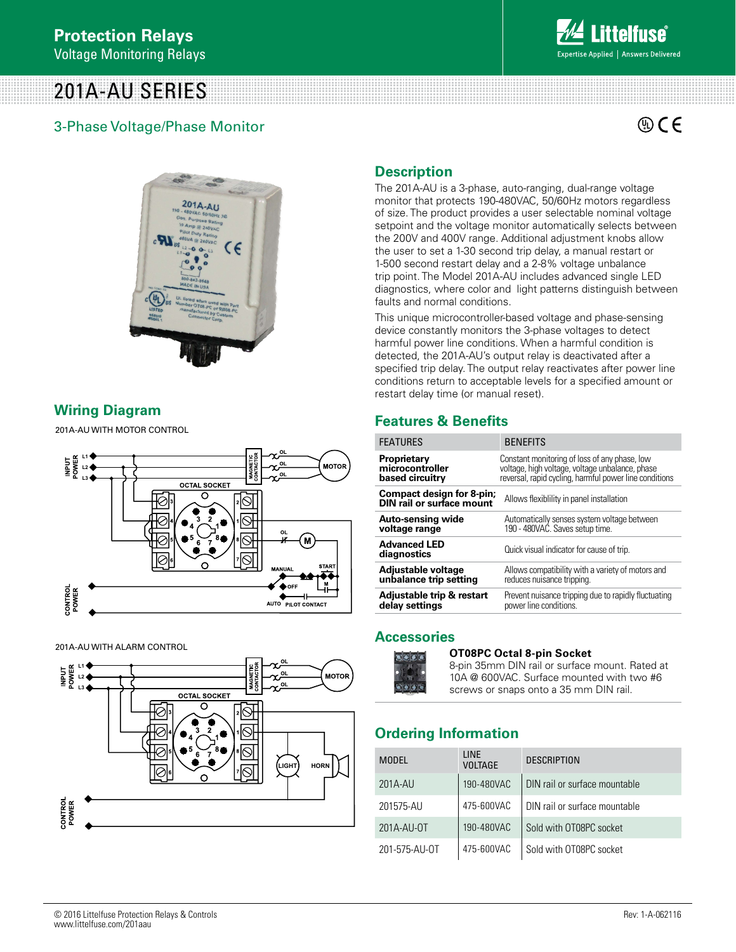# 201A-AU SERIES

# 3-Phase Voltage/Phase Monitor

 $\mathbb{Q}$  C E



# **Wiring Diagram**

201A-AU WITH MOTOR CONTROL **TYPICAL WIRING DIAGRAM FOR MODEL 201A-AU WITH MOTOR CONTROL L2**



201A-AU WITH ALARM CONTROL **WITH ALARM CONTROL**



# **Description**

The 201A-AU is a 3-phase, auto-ranging, dual-range voltage monitor that protects 190-480VAC, 50/60Hz motors regardless of size. The product provides a user selectable nominal voltage setpoint and the voltage monitor automatically selects between the 200V and 400V range. Additional adjustment knobs allow the user to set a 1-30 second trip delay, a manual restart or 1-500 second restart delay and a 2-8% voltage unbalance trip point. The Model 201A-AU includes advanced single LED diagnostics, where color and light patterns distinguish between faults and normal conditions.

This unique microcontroller-based voltage and phase-sensing device constantly monitors the 3-phase voltages to detect harmful power line conditions. When a harmful condition is detected, the 201A-AU's output relay is deactivated after a specified trip delay. The output relay reactivates after power line conditions return to acceptable levels for a specified amount or restart delay time (or manual reset).

# **Features & Benefits**

| <b>FEATURES</b>                                                      | <b>BENEFITS</b>                                        |  |
|----------------------------------------------------------------------|--------------------------------------------------------|--|
| Proprietary                                                          | Constant monitoring of loss of any phase, low          |  |
| microcontroller                                                      | voltage, high voltage, voltage unbalance, phase        |  |
| based circuitry                                                      | reversal, rapid cycling, harmful power line conditions |  |
| <b>Compact design for 8-pin;</b><br><b>DIN</b> rail or surface mount | Allows flexibility in panel installation               |  |
| Auto-sensing wide                                                    | Automatically senses system voltage between            |  |
| voltage range                                                        | 190 - 480VAĆ. Saves setup time.                        |  |
| <b>Advanced LED</b><br>diagnostics                                   | Quick visual indicator for cause of trip.              |  |
| Adjustable voltage                                                   | Allows compatibility with a variety of motors and      |  |
| unbalance trip setting                                               | reduces nuisance tripping.                             |  |
| Adjustable trip & restart                                            | Prevent nuisance tripping due to rapidly fluctuating   |  |
| delay settings                                                       | power line conditions.                                 |  |

## **Accessories**



**OT08PC Octal 8-pin Socket**  8-pin 35mm DIN rail or surface mount. Rated at 10A @ 600VAC. Surface mounted with two #6 screws or snaps onto a 35 mm DIN rail.

# **Ordering Information**

| <b>MODEL</b>  | <b>LINE</b><br><b>VOLTAGE</b> | <b>DESCRIPTION</b>            |
|---------------|-------------------------------|-------------------------------|
| 201A-AU       | 190-480VAC                    | DIN rail or surface mountable |
| 201575-AU     | 475-600VAC                    | DIN rail or surface mountable |
| 201A-AU-0T    | 190-480VAC                    | Sold with OT08PC socket       |
| 201-575-AU-OT | 475-600VAC                    | Sold with OT08PC socket       |